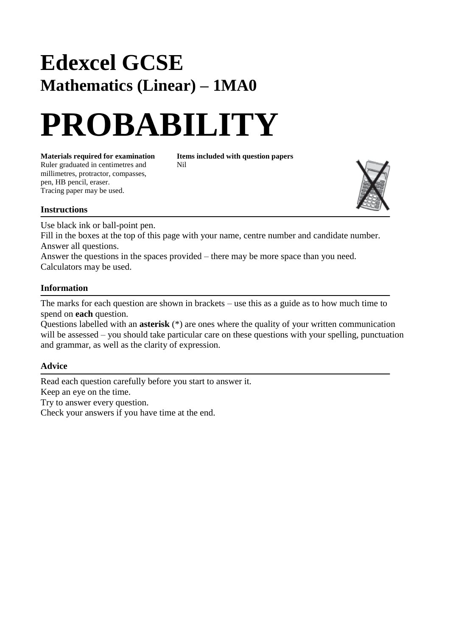## **Edexcel GCSE Mathematics (Linear) – 1MA0**

# **PROBABILITY**

**Materials required for examination Items included with question papers** Ruler graduated in centimetres and Nil millimetres, protractor, compasses, pen, HB pencil, eraser. Tracing paper may be used.



Use black ink or ball-point pen.

Fill in the boxes at the top of this page with your name, centre number and candidate number. Answer all questions.

Answer the questions in the spaces provided – there may be more space than you need. Calculators may be used.

#### **Information**

The marks for each question are shown in brackets – use this as a guide as to how much time to spend on **each** question.

Questions labelled with an **asterisk** (\*) are ones where the quality of your written communication will be assessed – you should take particular care on these questions with your spelling, punctuation and grammar, as well as the clarity of expression.

#### **Advice**

Read each question carefully before you start to answer it. Keep an eye on the time. Try to answer every question. Check your answers if you have time at the end.

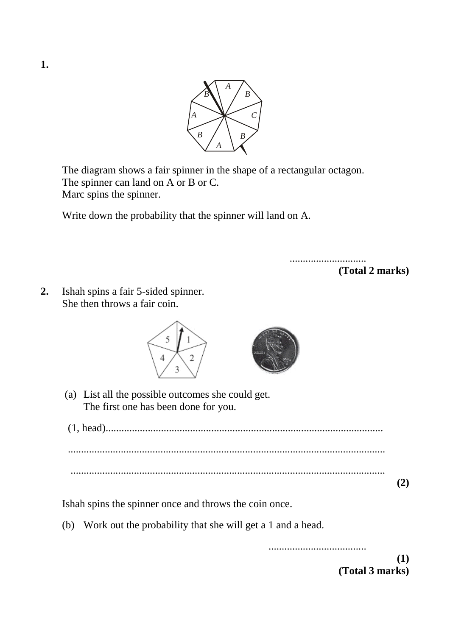

The diagram shows a fair spinner in the shape of a rectangular octagon. The spinner can land on A or B or C. Marc spins the spinner.

Write down the probability that the spinner will land on A.

.............................

**(Total 2 marks)**

**2.** Ishah spins a fair 5-sided spinner. She then throws a fair coin.



(a) List all the possible outcomes she could get. The first one has been done for you.

(1, head)......................................................................................................... ........................................................................................................................ ....................................................................................................................... **(2)**

Ishah spins the spinner once and throws the coin once.

(b) Work out the probability that she will get a 1 and a head.

..................................... **(1) (Total 3 marks)**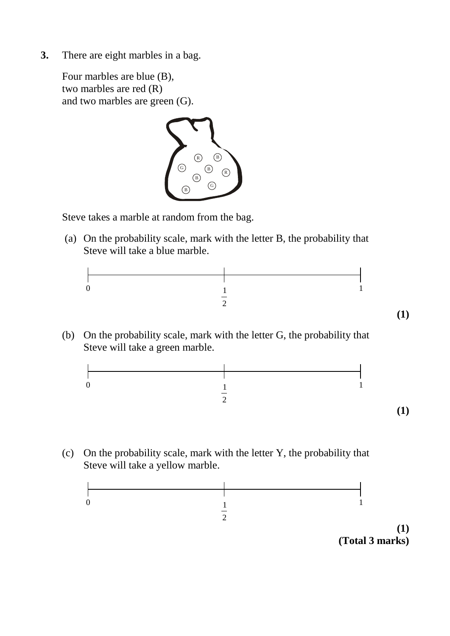**3.** There are eight marbles in a bag.

Four marbles are blue (B), two marbles are red (R) and two marbles are green (G).



Steve takes a marble at random from the bag.

(a) On the probability scale, mark with the letter B, the probability that Steve will take a blue marble.



(b) On the probability scale, mark with the letter G, the probability that Steve will take a green marble.



(c) On the probability scale, mark with the letter Y, the probability that Steve will take a yellow marble.

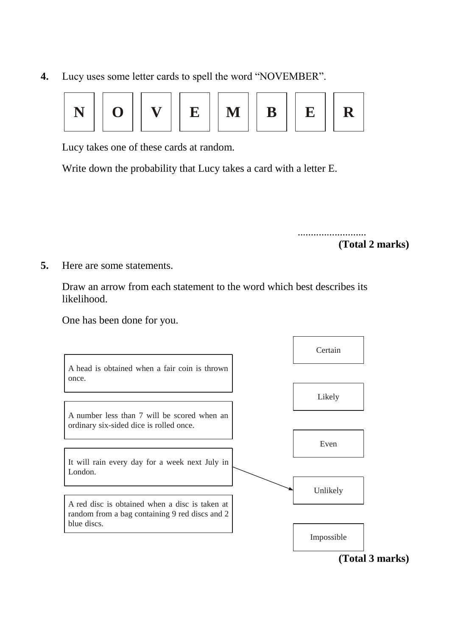**4.** Lucy uses some letter cards to spell the word "NOVEMBER".



Lucy takes one of these cards at random.

Write down the probability that Lucy takes a card with a letter E.

.......................... **(Total 2 marks)**

**5.** Here are some statements.

Draw an arrow from each statement to the word which best describes its likelihood.

One has been done for you.

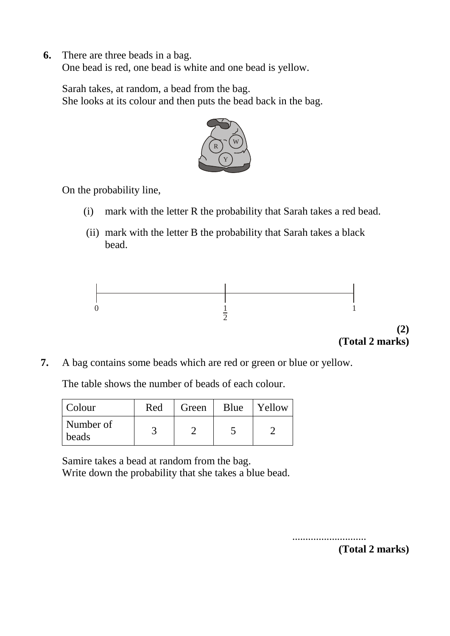**6.** There are three beads in a bag.

One bead is red, one bead is white and one bead is yellow.

Sarah takes, at random, a bead from the bag. She looks at its colour and then puts the bead back in the bag.



On the probability line,

- (i) mark with the letter R the probability that Sarah takes a red bead.
- (ii) mark with the letter B the probability that Sarah takes a black bead.



**(2) (Total 2 marks)**

**7.** A bag contains some beads which are red or green or blue or yellow.

The table shows the number of beads of each colour.

| Colour             | Red | Green | Blue | Yellow |
|--------------------|-----|-------|------|--------|
| Number of<br>beads |     |       |      |        |

Samire takes a bead at random from the bag. Write down the probability that she takes a blue bead.

> ............................ **(Total 2 marks)**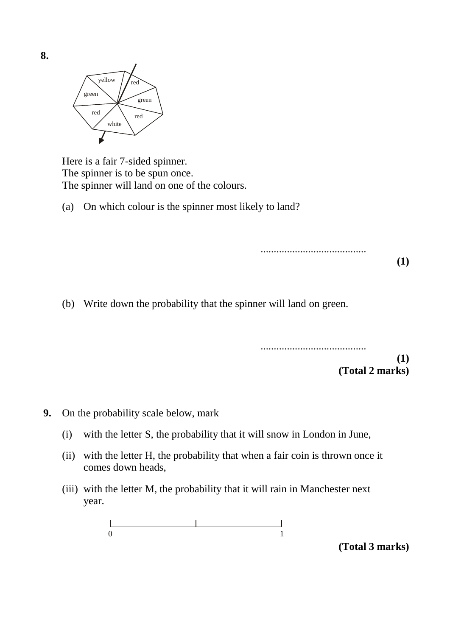

Here is a fair 7-sided spinner. The spinner is to be spun once. The spinner will land on one of the colours.

(a) On which colour is the spinner most likely to land?

........................................ **(1)**

(b) Write down the probability that the spinner will land on green.

........................................ **(1) (Total 2 marks)**

- **9.** On the probability scale below, mark
	- (i) with the letter S, the probability that it will snow in London in June,
	- (ii) with the letter H, the probability that when a fair coin is thrown once it comes down heads,
	- (iii) with the letter M, the probability that it will rain in Manchester next year.

0 1

**(Total 3 marks)**

**8.**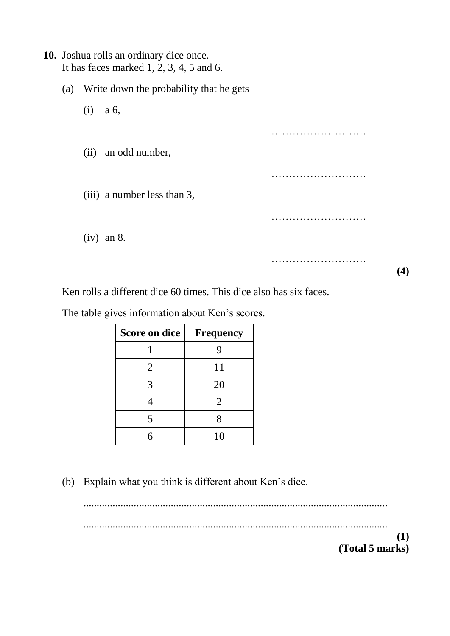### **10.** Joshua rolls an ordinary dice once. It has faces marked 1, 2, 3, 4, 5 and 6.

- (a) Write down the probability that he gets
	- (i) a 6,
	- (ii) an odd number,

(iii) a number less than 3,

(iv) an 8.

**(4)**

……………………………

…………………………………

………………………

…………………………

Ken rolls a different dice 60 times. This dice also has six faces.

The table gives information about Ken's scores.

| Score on dice | <b>Frequency</b> |  |
|---------------|------------------|--|
|               |                  |  |
| 2             | 11               |  |
|               | 20               |  |
|               | $\overline{2}$   |  |
| 5             |                  |  |
| ς             | 10               |  |

(b) Explain what you think is different about Ken's dice.

................................................................................................................... ................................................................................................................... **(1)**

**(Total 5 marks)**